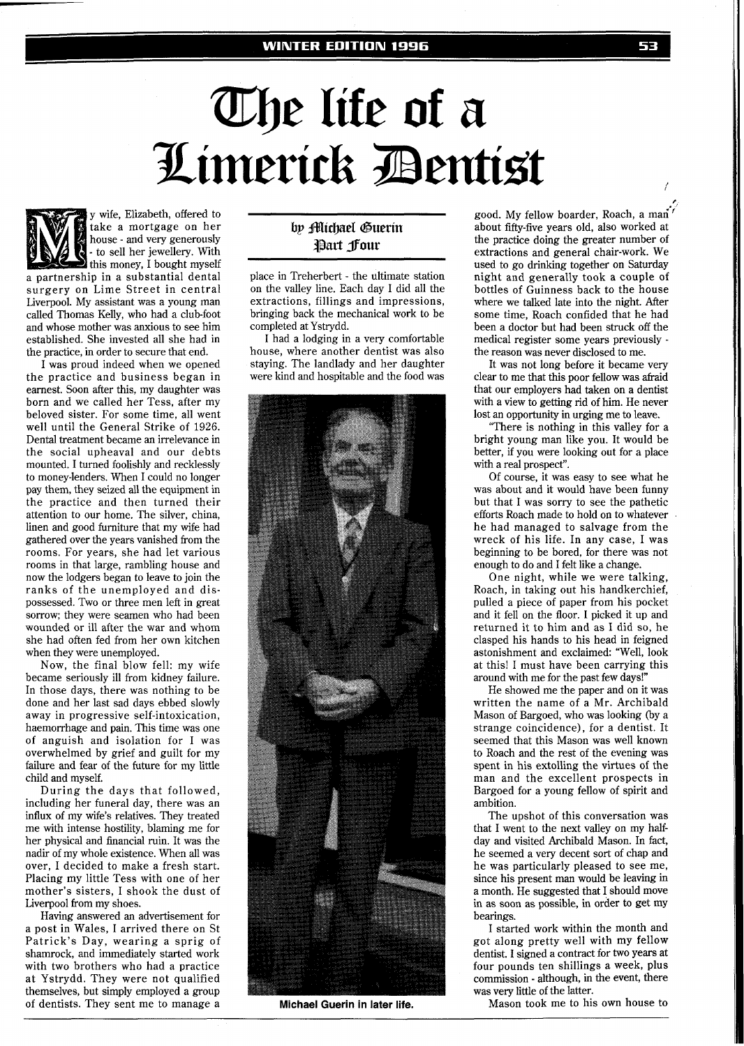## **Whe life of a<br>Limerick Bentist**



take a mortgage on her house - and very generously - to sell her jewellery. With<br>this money, I bought myself a partnership in a substantial dental surgery on Lime Street in central Liverpool. My assistant was a young man called Thomas Kelly, who had a club-foot and whose mother was anxious to see him established. She invested all she had in the practice, in order to secure that end.

y wife, Elizabeth, offered to

I was proud indeed when we opened the practice and business began in earnest. Soon after this, my daughter was born and we called her Tess, after my beloved sister. For some time, all went well until the General Strike of 1926. Dental treatment became an irrelevance in the social upheaval and our debts mounted. I turned foolishly and recklessly to money-lenders. When I could no longer pay them, they seized all the equipment in the practice and then turned their attention to our home. The silver, china, linen and good furniture that my wife had gathered over the years vanished from the rooms. For years, she had let various rooms in that large, rambling house and now the lodgers began to leave to join the ranks of the unemployed and dispossessed. Two or three men left in great sorrow; they were seamen who had been wounded or ill after the war and whom she had often fed from her own kitchen when they were unemployed.

Now, the final blow fell: my wife became seriously ill from kidney failure. In those days, there was nothing to be done and her last sad days ebbed slowly away in progressive self-intoxication, haemorrhage and pain. This time was one of anguish and isolation for I was overwhelmed by grief and guilt for my failure and fear of the future for my little child and myself.

During the days that followed, including her funeral day, there was an influx of my wife's relatives. They treated me with intense hostility, blaming me for her physical and financial ruin. It was the nadir of my whole existence. When all was over, I decided to make a fresh start. Placing my little Tess with one of her mother's sisters, I shook the dust of Liverpool from my shoes.

Having answered an advertisement for a post in Wales, I arrived there on St Patrick's Day, wearing a sprig of shamrock, and immediately started work with two brothers who had a practice at Ystrydd. They were not qualified themselves, but simply employed a group of dentists. They sent me to manage a

## by **Michael** Guerin Part four

place in Treherbert - the ultimate station on the valley line. Each day I did all the extractions, fillings and impressions, bringing back the mechanical work to be completed at Ystrydd.

I had a lodging in a very comfortable house, where another dentist was also staying. The landlady and her daughter were kind and hospitable and the food was



**Michael Guerin in later life.** 

good. My fellow boarder, Roach, a man"' about fifty-five years old, also worked at the practice doing the greater number of extractions and general chair-work. We used to go drinking together on Saturday night and generally took a couple of bottles of Guinness back to the house where we talked late into the night. After some time, Roach confided that he had been a doctor but had been struck off the medical register some years previously the reason was never disclosed to me.

It was not long before it became very clear to me that this poor fellow was afraid that our employers had taken on a dentist with a view to getting rid of him. He never lost an opportunity in urging me to leave.

There is nothing in this valley for a bright young man like you. It would be better, if you were looking out for a place with a real prospect".

Of course, it was easy to see what he was about and it would have been funny but that I was sorry to see the pathetic efforts Roach made to hold on to whatever he had managed to salvage from the wreck of his life. In any case, I was beginning to be bored, for there was not enough to do and I felt like a change.

One night, while we were talking, Roach, in taking out his handkerchief, pulled a piece of paper from his pocket and it fell on the floor. I picked it up and returned it to him and as I did so, he clasped his hands to his head in feigned astonishment and exclaimed: 'Well, look at this! I must have been carrying this around with me for the past few days!"

He showed me the paper and on it was written the name of a Mr. Archibald Mason of Bargoed, who was looking (by a strange coincidence), for a dentist. It seemed that this Mason was well known to Roach and the rest of the evening was spent in his extolling the virtues of the man and the excellent prospects in Bargoed for a young fellow of spirit and ambition.

The upshot of this conversation was that I went to the next valley on my halfday and visited Archibald Mason. In fact, he seemed a very decent sort of chap and he was particularly pleased to see me, since his present man would be leaving in a month. He suggested that I should move in as soon as possible, in order to get my bearings.

I started work within the month and got along pretty well with my fellow dentist. I signed a contract for two years at four pounds ten shillings a week, plus commission - although, in the event, there was very little of the latter.

Mason took me to his own house to

**P**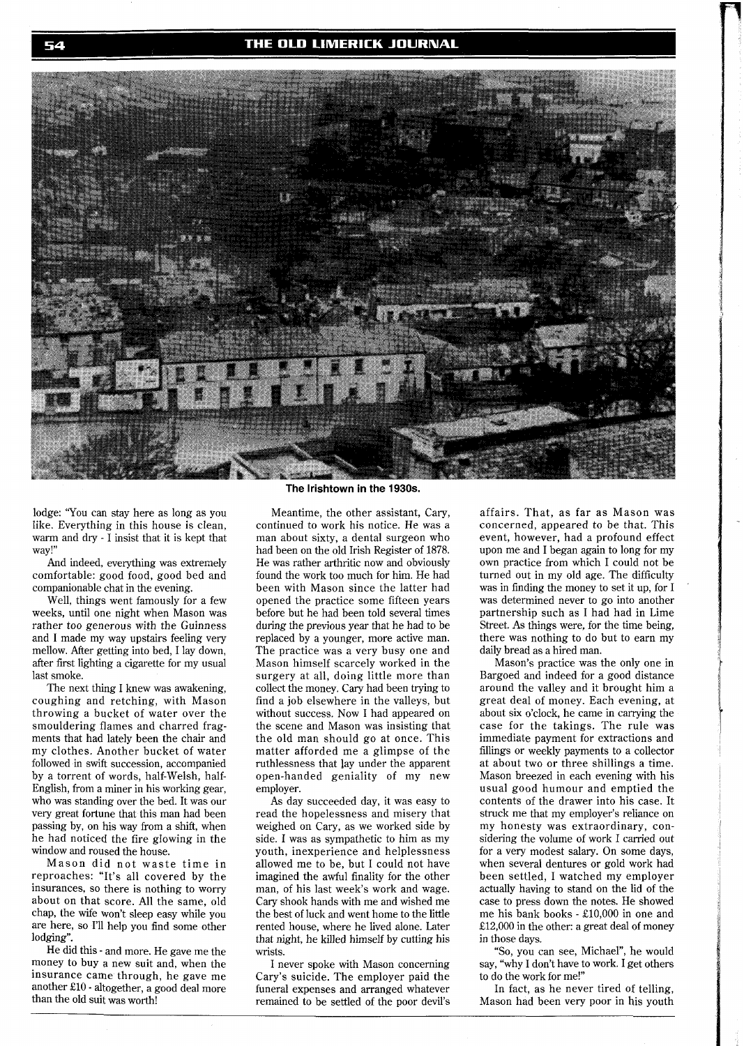THE OLD LIMERICK JOURNAL



lodge: 'You can stay here as long as you like. Everything in this house is clean, warm and dry - I insist that it is kept that way!"

And indeed, everything was extremely comfortable: good food, good bed and companionable chat in the evening.

Well, things went famously for a few weeks, until one night when Mason was rather too generous with the Guinness and I made my way upstairs feeling very mellow. After getting into bed, I lay down, after first lighting a cigarette for my usual last smoke.

The next thing I knew was awakening, coughing and retching, with Mason throwing a bucket of water over the smouldering flames and charred fragments that had lately been the chair and my clothes. Another bucket of water followed in swift succession, accompanied by a torrent of words, half-Welsh, half-English, from a miner in his working gear, who was standing over the bed. It was our very great fortune that this man had been passing by, on his way from a shift, when he had noticed the fire glowing in the window and roused the house.

Mason did not waste time in reproaches: "It's all covered by the insurances, so there is nothing to worry about on that score. All the same, old chap, the wife won't sleep easy while you are here, so I'll help you find some other lodging".

He did this - and more. He gave me the money to buy a new suit and, when the insurance came through, he gave me another E10 - altogether, a good deal more than the old suit was worth!

## **The lrishtown in the 1930s.**

Meantime, the other assistant, Cary, continued to work his notice. He was a man about sixty, a dental surgeon who had been on the old Irish Register of 1878. He was rather arthritic now and obviously found the work too much for him. He had been with Mason since the latter had opened the practice some fifteen years before but he had been told several times during the previous year that he had to be replaced by a younger, more active man. The practice was a very busy one and Mason himself scarcely worked in the surgery at all, doing little more than collect the money. Cary had been trying to find a job elsewhere in the valleys, but without success. Now I had appeared on the scene and Mason was insisting that the old man should go at once. This matter afforded me a glimpse of the ruthlessness that ]ay under the apparent open-handed geniality of my new employer.

As day succeeded day, it was easy to read the hopelessness and misery that weighed on Cary, as we worked side by side. I was as sympathetic to him as my youth, inexperience and helplessness allowed me to be, but I could not have imagined the awful finality for the other man, of his last week's work and wage. Cary shook hands with me and wished me the best of luck and went home to the little rented house, where he lived alone. Later that night, he killed himself by cutting his wrists.

I never spoke with Mason concerning Cary's suicide. The employer paid the funeral expenses and arranged whatever remained to be settled of the poor devil's affairs. That, as far as Mason was concerned, appeared to be that. This event, however, had a profound effect upon me and I began again to long for my own practice from which I could not be turned out in my old age. The difficulty was in finding the money to set it up, for I was determined never to go into another partnership such as I had had in Lime Street. As things were, for the time being, there was nothing to do but to earn my daily bread as a hired man.

Mason's practice was the only one in Bargoed and indeed for a good distance around the valley and it brought him a great deal of money. Each evening, at about six o'clock, he came in carrying the case for the takings. The rule was immediate payment for extractions and fillings or weekly payments to a collector at about two or three shillings a time. Mason breezed in each evening with his usual good humour and emptied the contents of the drawer into his case. It struck me that my employer's reliance on my honesty was extraordinary, considering the volume of work I carried out for a very modest salary. On some days, when several dentures or gold work had been settled, I watched my employer actually having to stand on the lid of the case to press down the notes. He showed me his bank books - £10,000 in one and £12,000 in the other: a great deal of money in those days.

"So, you can see, Michael", he would say, "why I don't have to work. I get others to do the work for me!"

In fact, as he never tired of telling, Mason had been very poor in his youth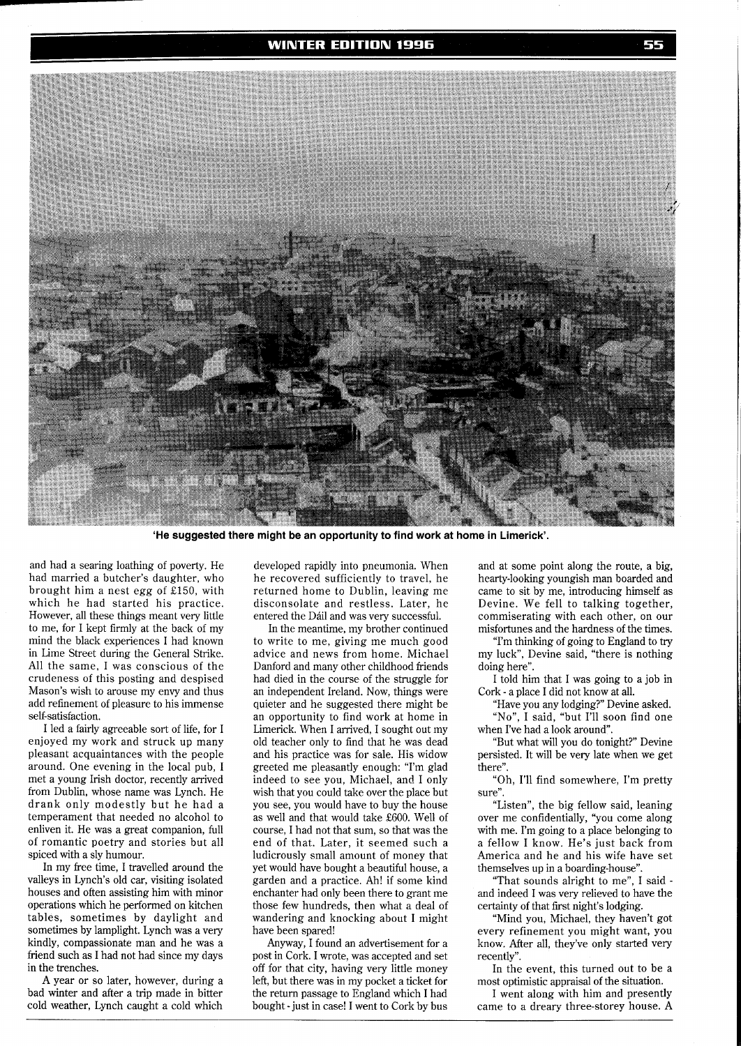

**'He suggested there might be an opportunity to find work at home in Limerick'.** 

and had a searing loathing of poverty. He had married a butcher's daughter, who brought him a nest egg of £150, with which he had started his practice. However, all these things meant very little to me, for I kept firmly at the back of my mind the black experiences I had known in Lime Street during the General Strike. All the same, I was conscious of the crudeness of this posting and despised Mason's wish to arouse my envy and thus add refinement of pleasure to his immense self-satisfaction.

I led a fairly agreeable sort of life, for I enjoyed my work and struck up many pleasant acquaintances with the people around. One evening in the local pub, I met a young Irish doctor, recently arrived from Dublin, whose name was Lynch. He drank only modestly but he had a temperament that needed no alcohol to enliven it. He was a great companion, full of romantic poetry and stories but all spiced with a sly humour.

In my free time, I travelled around the valleys in Lynch's old car, visiting isolated houses and often assisting him with minor operations which he performed on kitchen tables, sometimes by daylight and sometimes by lamplight. Lynch was a very kindly, compassionate man and he was a friend such as I had not had since my days in the trenches.

A year or so later, however, during a bad winter and after a trip made in bitter cold weather, Lynch caught a cold which

developed rapidly into pneumonia. When he recovered sufficiently to travel, he returned home to Dublin, leaving me disconsolate and restless. Later, he entered the Dáil and was very successful.

In the meantime, my brother continued to write to me, giving me much good advice and news from home. Michael Danford and many other childhood friends had died in the course of the struggle for an independent Ireland. Now, things were quieter and he suggested there might be an opportunity to find work at home in Limerick. When I arrived, I sought out my old teacher only to find that he was dead and his practice was for sale. His widow greeted me pleasantly enough: "I'm glad indeed to see you, Michael, and I only wish that you could take over the place but you see, you would have to buy the house as well and that would take £600. Well of course, I had not that sum, so that was the end of that. Later. it seemed such a ludicrously small amount of money that yet would have bought a beautiful house, a garden and a practice. **Ah!** if some kind enchanter had only been there to grant me those few hundreds, then what a deal of wandering and knocking about I might have been spared!

Anyway, I found an advertisement for a post in Cork. I wrote, was accepted and set off for that city, having very little money left, but there was in my pocket a ticket for the return passage to England which I had bought - just in case! I went to Cork by bus

and at some point along the route, a big, hearty-looking youngish man boarded and came to sit by me, introducing himself as Devine. We fell to talking together, commiserating with each other, on our misfortunes and the hardness of the times.

"I'm thinking of going to England to try my luck", Devine said, "there is nothing doing here".

I told him that I was going to a job in Cork - a place I did not know at all.

"Have you any lodging?" Devine asked.

"No", I said, "but I'll soon find one when I've had a look around".

"But what will you do tonight?" Devine persisted. It will be very late when we get there".

"Oh, I'll find somewhere, I'm pretty sure".

"Listen", the big fellow said, leaning over me confidentially, "you come along with me. I'm going to a place belonging to a fellow I know. He's just back from America and he and his wife have set themselves up in a boarding-house".

"That sounds alright to me", I said and indeed I was very relieved to have the certainty of that first night's lodging.

"Mind you, Michael, they haven't got every refinement you might want, you know. After all, they've only started very recently".

In the event, this turned out to be a most optimistic appraisal of the situation.

I went along with him and presently came to a dreary three-storey house. A